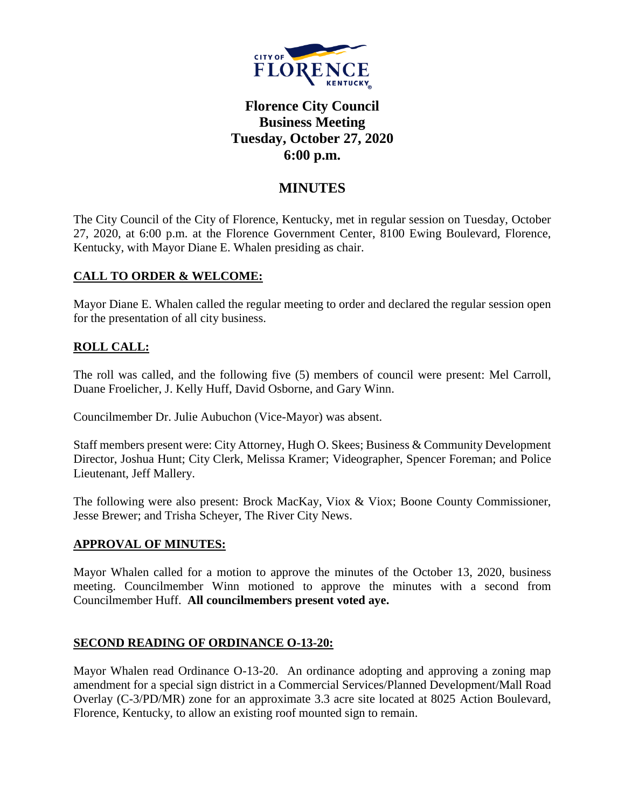

# **Florence City Council Business Meeting Tuesday, October 27, 2020 6:00 p.m.**

## **MINUTES**

The City Council of the City of Florence, Kentucky, met in regular session on Tuesday, October 27, 2020, at 6:00 p.m. at the Florence Government Center, 8100 Ewing Boulevard, Florence, Kentucky, with Mayor Diane E. Whalen presiding as chair.

#### **CALL TO ORDER & WELCOME:**

Mayor Diane E. Whalen called the regular meeting to order and declared the regular session open for the presentation of all city business.

### **ROLL CALL:**

The roll was called, and the following five (5) members of council were present: Mel Carroll, Duane Froelicher, J. Kelly Huff, David Osborne, and Gary Winn.

Councilmember Dr. Julie Aubuchon (Vice-Mayor) was absent.

Staff members present were: City Attorney, Hugh O. Skees; Business & Community Development Director, Joshua Hunt; City Clerk, Melissa Kramer; Videographer, Spencer Foreman; and Police Lieutenant, Jeff Mallery.

The following were also present: Brock MacKay, Viox & Viox; Boone County Commissioner, Jesse Brewer; and Trisha Scheyer, The River City News.

#### **APPROVAL OF MINUTES:**

Mayor Whalen called for a motion to approve the minutes of the October 13, 2020, business meeting. Councilmember Winn motioned to approve the minutes with a second from Councilmember Huff. **All councilmembers present voted aye.** 

#### **SECOND READING OF ORDINANCE O-13-20:**

Mayor Whalen read Ordinance O-13-20. An ordinance adopting and approving a zoning map amendment for a special sign district in a Commercial Services/Planned Development/Mall Road Overlay (C-3/PD/MR) zone for an approximate 3.3 acre site located at 8025 Action Boulevard, Florence, Kentucky, to allow an existing roof mounted sign to remain.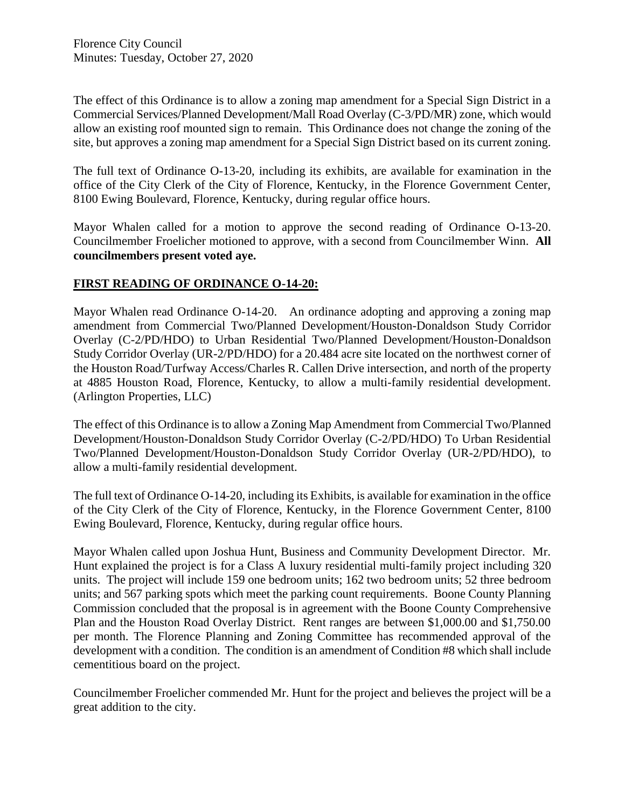Florence City Council Minutes: Tuesday, October 27, 2020

The effect of this Ordinance is to allow a zoning map amendment for a Special Sign District in a Commercial Services/Planned Development/Mall Road Overlay (C-3/PD/MR) zone, which would allow an existing roof mounted sign to remain. This Ordinance does not change the zoning of the site, but approves a zoning map amendment for a Special Sign District based on its current zoning.

The full text of Ordinance O-13-20, including its exhibits, are available for examination in the office of the City Clerk of the City of Florence, Kentucky, in the Florence Government Center, 8100 Ewing Boulevard, Florence, Kentucky, during regular office hours.

Mayor Whalen called for a motion to approve the second reading of Ordinance O-13-20. Councilmember Froelicher motioned to approve, with a second from Councilmember Winn. **All councilmembers present voted aye.** 

#### **FIRST READING OF ORDINANCE O-14-20:**

Mayor Whalen read Ordinance O-14-20. An ordinance adopting and approving a zoning map amendment from Commercial Two/Planned Development/Houston-Donaldson Study Corridor Overlay (C-2/PD/HDO) to Urban Residential Two/Planned Development/Houston-Donaldson Study Corridor Overlay (UR-2/PD/HDO) for a 20.484 acre site located on the northwest corner of the Houston Road/Turfway Access/Charles R. Callen Drive intersection, and north of the property at 4885 Houston Road, Florence, Kentucky, to allow a multi-family residential development. (Arlington Properties, LLC)

The effect of this Ordinance is to allow a Zoning Map Amendment from Commercial Two/Planned Development/Houston-Donaldson Study Corridor Overlay (C-2/PD/HDO) To Urban Residential Two/Planned Development/Houston-Donaldson Study Corridor Overlay (UR-2/PD/HDO), to allow a multi-family residential development.

The full text of Ordinance O-14-20, including its Exhibits, is available for examination in the office of the City Clerk of the City of Florence, Kentucky, in the Florence Government Center, 8100 Ewing Boulevard, Florence, Kentucky, during regular office hours.

Mayor Whalen called upon Joshua Hunt, Business and Community Development Director. Mr. Hunt explained the project is for a Class A luxury residential multi-family project including 320 units. The project will include 159 one bedroom units; 162 two bedroom units; 52 three bedroom units; and 567 parking spots which meet the parking count requirements. Boone County Planning Commission concluded that the proposal is in agreement with the Boone County Comprehensive Plan and the Houston Road Overlay District. Rent ranges are between \$1,000.00 and \$1,750.00 per month. The Florence Planning and Zoning Committee has recommended approval of the development with a condition. The condition is an amendment of Condition #8 which shall include cementitious board on the project.

Councilmember Froelicher commended Mr. Hunt for the project and believes the project will be a great addition to the city.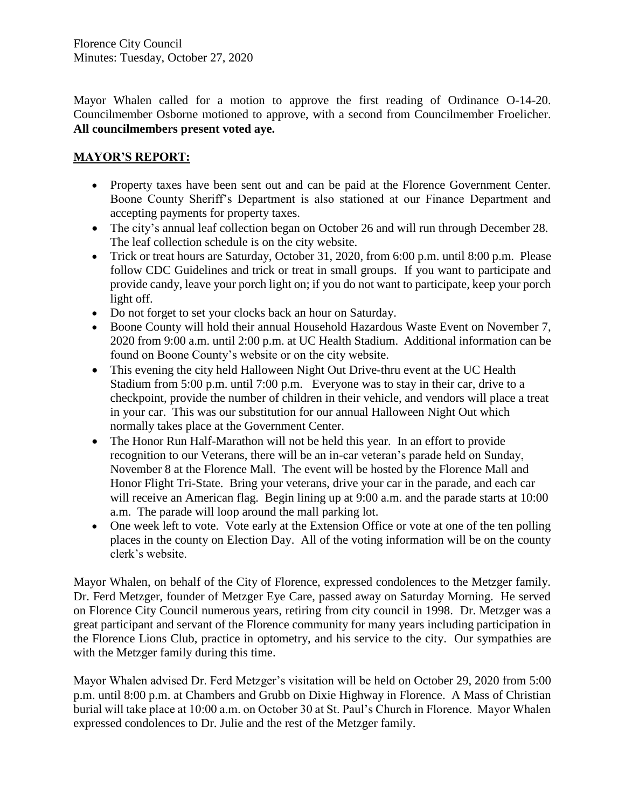Mayor Whalen called for a motion to approve the first reading of Ordinance O-14-20. Councilmember Osborne motioned to approve, with a second from Councilmember Froelicher. **All councilmembers present voted aye.** 

## **MAYOR'S REPORT:**

- Property taxes have been sent out and can be paid at the Florence Government Center. Boone County Sheriff's Department is also stationed at our Finance Department and accepting payments for property taxes.
- The city's annual leaf collection began on October 26 and will run through December 28. The leaf collection schedule is on the city website.
- Trick or treat hours are Saturday, October 31, 2020, from 6:00 p.m. until 8:00 p.m. Please follow CDC Guidelines and trick or treat in small groups. If you want to participate and provide candy, leave your porch light on; if you do not want to participate, keep your porch light off.
- Do not forget to set your clocks back an hour on Saturday.
- Boone County will hold their annual Household Hazardous Waste Event on November 7, 2020 from 9:00 a.m. until 2:00 p.m. at UC Health Stadium. Additional information can be found on Boone County's website or on the city website.
- This evening the city held Halloween Night Out Drive-thru event at the UC Health Stadium from 5:00 p.m. until 7:00 p.m. Everyone was to stay in their car, drive to a checkpoint, provide the number of children in their vehicle, and vendors will place a treat in your car. This was our substitution for our annual Halloween Night Out which normally takes place at the Government Center.
- The Honor Run Half-Marathon will not be held this year. In an effort to provide recognition to our Veterans, there will be an in-car veteran's parade held on Sunday, November 8 at the Florence Mall. The event will be hosted by the Florence Mall and Honor Flight Tri-State. Bring your veterans, drive your car in the parade, and each car will receive an American flag. Begin lining up at 9:00 a.m. and the parade starts at 10:00 a.m. The parade will loop around the mall parking lot.
- One week left to vote. Vote early at the Extension Office or vote at one of the ten polling places in the county on Election Day. All of the voting information will be on the county clerk's website.

Mayor Whalen, on behalf of the City of Florence, expressed condolences to the Metzger family. Dr. Ferd Metzger, founder of Metzger Eye Care, passed away on Saturday Morning. He served on Florence City Council numerous years, retiring from city council in 1998. Dr. Metzger was a great participant and servant of the Florence community for many years including participation in the Florence Lions Club, practice in optometry, and his service to the city. Our sympathies are with the Metzger family during this time.

Mayor Whalen advised Dr. Ferd Metzger's visitation will be held on October 29, 2020 from 5:00 p.m. until 8:00 p.m. at Chambers and Grubb on Dixie Highway in Florence. A Mass of Christian burial will take place at 10:00 a.m. on October 30 at St. Paul's Church in Florence. Mayor Whalen expressed condolences to Dr. Julie and the rest of the Metzger family.